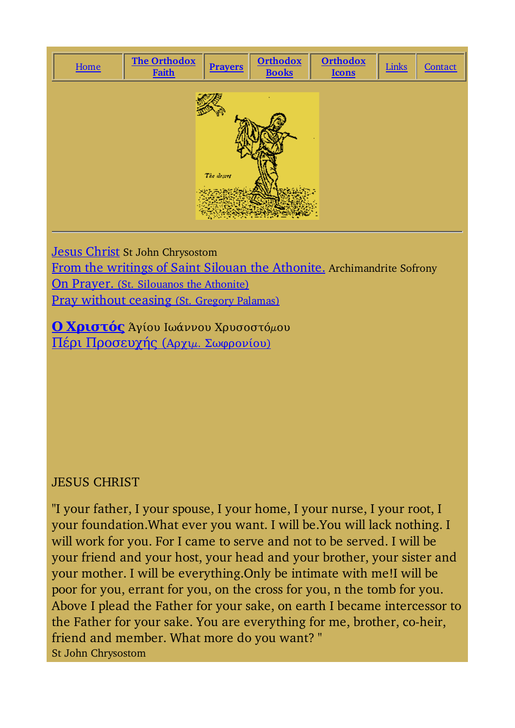| <b>The Orthodox</b><br>Faith | <b>Prayers</b> | <b>Orthodox</b><br><b>Books</b> | <b>Orthodox</b><br><b>Icons</b> | Links | Contact |
|------------------------------|----------------|---------------------------------|---------------------------------|-------|---------|
|                              |                | ×                               |                                 |       |         |
|                              |                |                                 |                                 |       |         |
|                              |                |                                 |                                 |       |         |
|                              | The desert     |                                 |                                 |       |         |
|                              |                |                                 |                                 |       |         |
|                              |                |                                 |                                 |       |         |

Jesus Christ St John Chrysostom From the writings of Saint Silouan the Athonite. Archimandrite Sofrony On Prayer. (St. Silouanos the Athonite) Pray without ceasing (St. Gregory Palamas)

**Ο Χριστός** Άγίου Ιωάννου Χρυσοστόμου Πέρι Προσευχής (Αρχιµ. Σωφρονίου)

#### JESUS CHRIST

"I your father, I your spouse, I your home, I your nurse, I your root, I your foundation.What ever you want. I will be.You will lack nothing. I will work for you. For I came to serve and not to be served. I will be your friend and your host, your head and your brother, your sister and your mother. I will be everything.Only be intimate with me!I will be poor for you, errant for you, on the cross for you, n the tomb for you. Above I plead the Father for your sake, on earth I became intercessor to the Father for your sake. You are everything for me, brother, co-heir, friend and member. What more do you want? " St John Chrysostom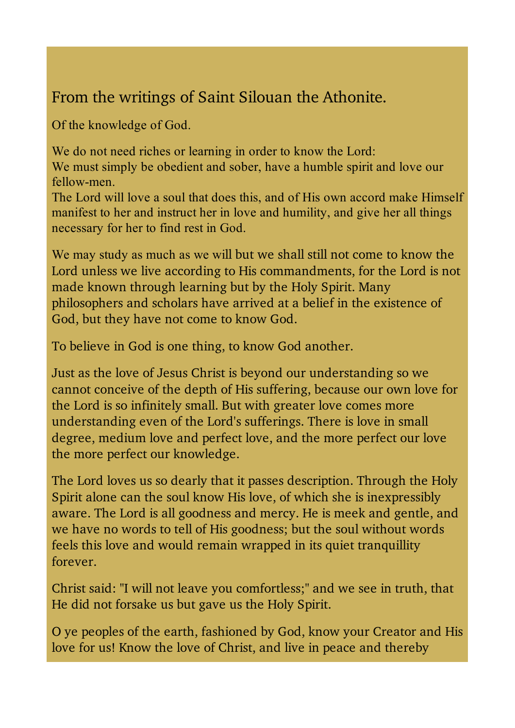# From the writings of Saint Silouan the Athonite.

Of the knowledge of God.

We do not need riches or learning in order to know the Lord: We must simply be obedient and sober, have a humble spirit and love our fellow-men.

The Lord will love a soul that does this, and of His own accord make Himself manifest to her and instruct her in love and humility, and give her all things necessary for her to find rest in God.

We may study as much as we will but we shall still not come to know the Lord unless we live according to His commandments, for the Lord is not made known through learning but by the Holy Spirit. Many philosophers and scholars have arrived at a belief in the existence of God, but they have not come to know God.

To believe in God is one thing, to know God another.

Just as the love of Jesus Christ is beyond our understanding so we cannot conceive of the depth of His suffering, because our own love for the Lord is so infinitely small. But with greater love comes more understanding even of the Lord's sufferings. There is love in small degree, medium love and perfect love, and the more perfect our love the more perfect our knowledge.

The Lord loves us so dearly that it passes description. Through the Holy Spirit alone can the soul know His love, of which she is inexpressibly aware. The Lord is all goodness and mercy. He is meek and gentle, and we have no words to tell of His goodness; but the soul without words feels this love and would remain wrapped in its quiet tranquillity forever.

Christ said: "I will not leave you comfortless;" and we see in truth, that He did not forsake us but gave us the Holy Spirit.

O ye peoples of the earth, fashioned by God, know your Creator and His love for us! Know the love of Christ, and live in peace and thereby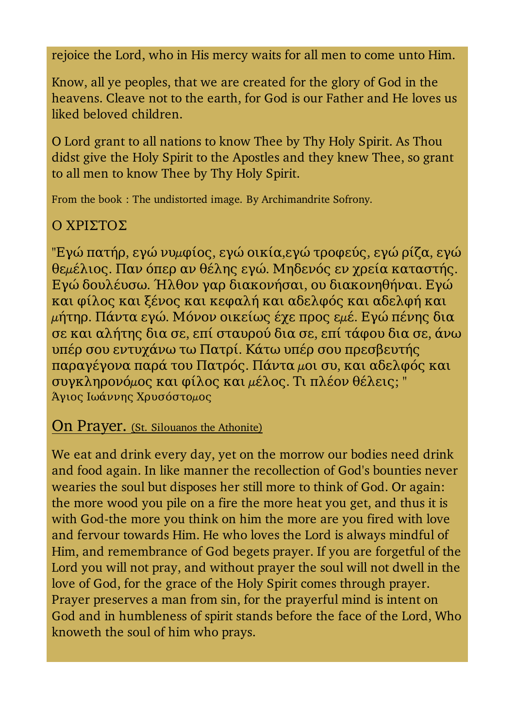### rejoice the Lord, who in His mercy waits for all men to come unto Him.

Know, all ye peoples, that we are created for the glory of God in the heavens. Cleave not to the earth, for God is our Father and He loves us liked beloved children.

O Lord grant to all nations to know Thee by Thy Holy Spirit. As Thou didst give the Holy Spirit to the Apostles and they knew Thee, so grant to all men to know Thee by Thy Holy Spirit.

From the book : The undistorted image. By Archimandrite Sofrony.

## Ο ΧΡΙΣΤΟΣ

"Εγώ πατήρ, εγώ νυµφίος, εγώ οικία,εγώ τροφεύς, εγώ ρίζα, εγώ θεµέλιος. Παν όπερ αν θέλης εγώ. Μηδενός εν χρεία καταστής. Εγώ δουλέυσω. Ήλθον γαρ διακονήσαι, ου διακονηθήναι. Εγώ και φίλος και ξένος και κεφαλή και αδελφός και αδελφή και  $\mu$ ήτηρ. Πάντα εγώ. Μόνον οικείως έχε προς ε $\mu$ έ. Εγώ πένης δια σε και αλήτης δια σε, επί σταυρού δια σε, επί τάφου δια σε, άνω υπέρ σου εντυχάνω τω Πατρί. Κάτω υπέρ σου πρεσβευτής παραγέγονα παρά του Πατρός. Πάντα µοι συ, και αδελφός και συγκληρονόµος και φίλος και µέλος. Τι πλέον θέλεις; " Άγιος Ιωάννης Χρυσόστοµος

### On Prayer. (St. Silouanos the Athonite)

We eat and drink every day, yet on the morrow our bodies need drink and food again. In like manner the recollection of God's bounties never wearies the soul but disposes her still more to think of God. Or again: the more wood you pile on a fire the more heat you get, and thus it is with God-the more you think on him the more are you fired with love and fervour towards Him. He who loves the Lord is always mindful of Him, and remembrance of God begets prayer. If you are forgetful of the Lord you will not pray, and without prayer the soul will not dwell in the love of God, for the grace of the Holy Spirit comes through prayer. Prayer preserves a man from sin, for the prayerful mind is intent on God and in humbleness of spirit stands before the face of the Lord, Who knoweth the soul of him who prays.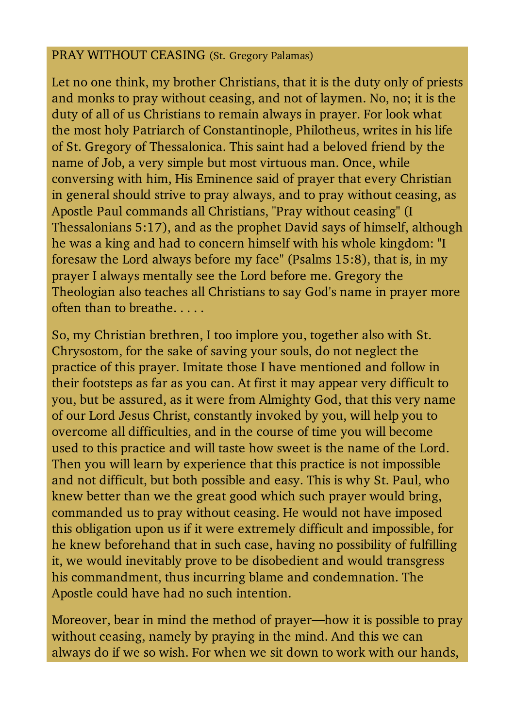#### PRAY WITHOUT CEASING (St. Gregory Palamas)

Let no one think, my brother Christians, that it is the duty only of priests and monks to pray without ceasing, and not of laymen. No, no; it is the duty of all of us Christians to remain always in prayer. For look what the most holy Patriarch of Constantinople, Philotheus, writes in his life of St. Gregory of Thessalonica. This saint had a beloved friend by the name of Job, a very simple but most virtuous man. Once, while conversing with him, His Eminence said of prayer that every Christian in general should strive to pray always, and to pray without ceasing, as Apostle Paul commands all Christians, "Pray without ceasing" (I Thessalonians 5:17), and as the prophet David says of himself, although he was a king and had to concern himself with his whole kingdom: "I foresaw the Lord always before my face" (Psalms 15:8), that is, in my prayer I always mentally see the Lord before me. Gregory the Theologian also teaches all Christians to say God's name in prayer more often than to breathe. . . . .

So, my Christian brethren, I too implore you, together also with St. Chrysostom, for the sake of saving your souls, do not neglect the practice of this prayer. Imitate those I have mentioned and follow in their footsteps as far as you can. At first it may appear very difficult to you, but be assured, as it were from Almighty God, that this very name of our Lord Jesus Christ, constantly invoked by you, will help you to overcome all difficulties, and in the course of time you will become used to this practice and will taste how sweet is the name of the Lord. Then you will learn by experience that this practice is not impossible and not difficult, but both possible and easy. This is why St. Paul, who knew better than we the great good which such prayer would bring, commanded us to pray without ceasing. He would not have imposed this obligation upon us if it were extremely difficult and impossible, for he knew beforehand that in such case, having no possibility of fulfilling it, we would inevitably prove to be disobedient and would transgress his commandment, thus incurring blame and condemnation. The Apostle could have had no such intention.

Moreover, bear in mind the method of prayer―how it is possible to pray without ceasing, namely by praying in the mind. And this we can always do if we so wish. For when we sit down to work with our hands,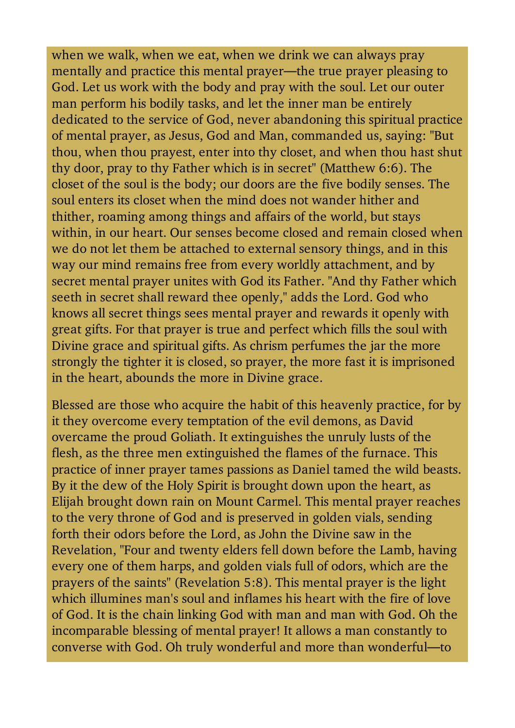when we walk, when we eat, when we drink we can always pray mentally and practice this mental prayer―the true prayer pleasing to God. Let us work with the body and pray with the soul. Let our outer man perform his bodily tasks, and let the inner man be entirely dedicated to the service of God, never abandoning this spiritual practice of mental prayer, as Jesus, God and Man, commanded us, saying: "But thou, when thou prayest, enter into thy closet, and when thou hast shut thy door, pray to thy Father which is in secret" (Matthew 6:6). The closet of the soul is the body; our doors are the five bodily senses. The soul enters its closet when the mind does not wander hither and thither, roaming among things and affairs of the world, but stays within, in our heart. Our senses become closed and remain closed when we do not let them be attached to external sensory things, and in this way our mind remains free from every worldly attachment, and by secret mental prayer unites with God its Father. "And thy Father which seeth in secret shall reward thee openly," adds the Lord. God who knows all secret things sees mental prayer and rewards it openly with great gifts. For that prayer is true and perfect which fills the soul with Divine grace and spiritual gifts. As chrism perfumes the jar the more strongly the tighter it is closed, so prayer, the more fast it is imprisoned in the heart, abounds the more in Divine grace.

Blessed are those who acquire the habit of this heavenly practice, for by it they overcome every temptation of the evil demons, as David overcame the proud Goliath. It extinguishes the unruly lusts of the flesh, as the three men extinguished the flames of the furnace. This practice of inner prayer tames passions as Daniel tamed the wild beasts. By it the dew of the Holy Spirit is brought down upon the heart, as Elijah brought down rain on Mount Carmel. This mental prayer reaches to the very throne of God and is preserved in golden vials, sending forth their odors before the Lord, as John the Divine saw in the Revelation, "Four and twenty elders fell down before the Lamb, having every one of them harps, and golden vials full of odors, which are the prayers of the saints" (Revelation 5:8). This mental prayer is the light which illumines man's soul and inflames his heart with the fire of love of God. It is the chain linking God with man and man with God. Oh the incomparable blessing of mental prayer! It allows a man constantly to converse with God. Oh truly wonderful and more than wonderful―to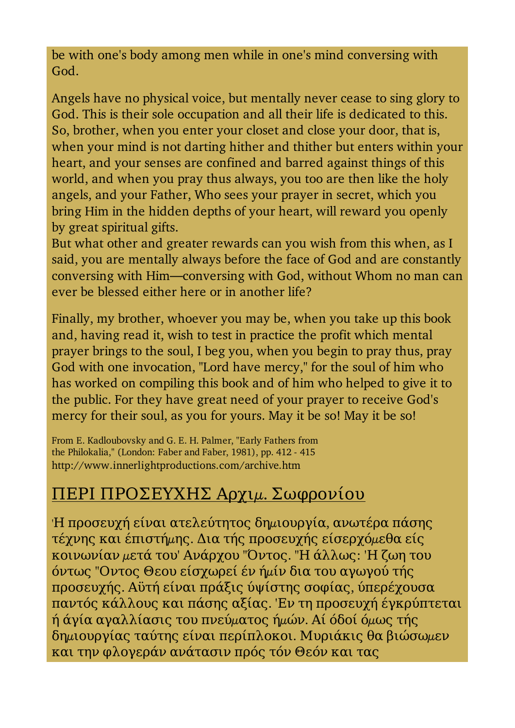be with one's body among men while in one's mind conversing with God.

Angels have no physical voice, but mentally never cease to sing glory to God. This is their sole occupation and all their life is dedicated to this. So, brother, when you enter your closet and close your door, that is, when your mind is not darting hither and thither but enters within your heart, and your senses are confined and barred against things of this world, and when you pray thus always, you too are then like the holy angels, and your Father, Who sees your prayer in secret, which you bring Him in the hidden depths of your heart, will reward you openly by great spiritual gifts.

But what other and greater rewards can you wish from this when, as I said, you are mentally always before the face of God and are constantly conversing with Him―conversing with God, without Whom no man can ever be blessed either here or in another life?

Finally, my brother, whoever you may be, when you take up this book and, having read it, wish to test in practice the profit which mental prayer brings to the soul, I beg you, when you begin to pray thus, pray God with one invocation, "Lord have mercy," for the soul of him who has worked on compiling this book and of him who helped to give it to the public. For they have great need of your prayer to receive God's mercy for their soul, as you for yours. May it be so! May it be so!

From E. Kadloubovsky and G. E. H. Palmer, "Early Fathers from the Philokalia," (London: Faber and Faber, 1981), pp. 412 - 415 http://www.innerlightproductions.com/archive.htm

# ΠΕΡΙ ΠΡΟΣΕΥΧΗΣ Αρχιµ. Σωφρονίου

'Η προσευχή είναι ατελεύτητος δηµιουργία, ανωτέρα πάσης τέχνης και έπιστήµης. Δια τής προσευχής είσερχόµεθα είς κοινωνίαν µετά του' Ανάρχου "Όντος. "Η άλλως: 'Η ζωη του όντως "Οντος Θεου είσχωρεί έν ήµίν δια του αγωγού τής προσευχής. Αϋτή είναι πράξις ύψίστης σοφίας, ύπερέχουσα παντός κάλλους και πάσης αξίας. 'Εν τη προσευχή έγκρύπτεται ή άγία αγαλλίασις του πνεύµατος ήµών. Αί όδοί όµως τής δηµιουργίας ταύτης είναι περίπλοκοι. Μυριάκις θα βιώσωµεν και την φλογεράν ανάτασιν πρός τόν Θεόν και τας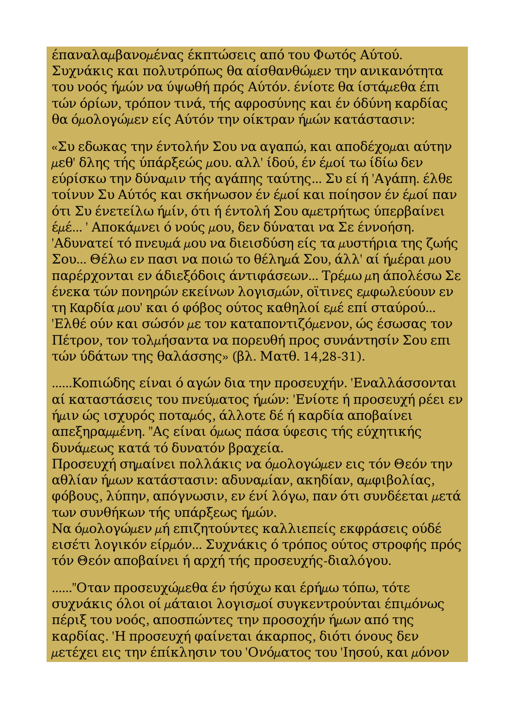έπαναλαµβανοµένας έκπτώσεις από του Φωτός Αύτού. Συχνάκις και πολυτρόπως θα αίσθανθώµεν την ανικανότητα του νοός ήµών να ύψωθή πρός Αύτόν. ένίοτε θα ίστάµεθα έπι τών όρίων, τρόπον τινά, τής αφροσύνης και έν όδύνη καρδίας θα όµολογώµεν είς Αύτόν την οίκτραν ήµών κατάστασιν:

«Συ εδωκας την έντολήν Σου να αγαπώ, και αποδέχοµαι αύτην µεθ' δλης τής ύπάρξεώς µου. αλλ' ίδού, έν έµοί τω ίδίω δεν εύρίσκω την δύναμιν τής αγάπης ταύτης... Συ εί ή 'Αγάπη. έλθε τοίνυν Συ Αύτός και σκήνωσον έν έµοί και ποίησον έν έµοί παν ότι Συ ένετείλω ήµίν, ότι ή έντολή Σου αµετρήτως ύπερβαίνει έµέ... ' Αποκάµνει ό νούς µου, δεν δύναται να Σε έννοήση. 'Αδυνατεί τό πνευµά µου να διεισδύση είς τα µυστήρια της ζωής Σου... Θέλω εν πασι να ποιώ το θέληµά Σου, άλλ' αί ήµέραι µου παρέρχονται εν άδιεξόδοις άντιφάσεων... Τρέµω µη άπολέσω Σε ένεκα τών πονηρών εκείνων λογισµών, οϊτινες εµφωλεύουν εν τη Kαρδία µου' και ό φόβος ούτος καθηλοί εµέ επί σταύρού... 'Ελθέ ούν και σώσόν µε τον καταποντιζόµενον, ώς έσωσας τον Πέτρον, τον τολµήσαντα να πορευθή προς συνάντησίν Σου επι τών ύδάτων της θαλάσσης» (βλ. Ματθ. 14,28-31).

......Κοπιώδης είναι ό αγών δια την προσευχήν. 'Εναλλάσσονται αί καταστάσεις του πνεύµατος ήµών: 'Ενίοτε ή προσευχή ρέει εν ήµιν ώς ισχυρός ποταµός, άλλοτε δέ ή καρδία αποβαίνει απεξηραµµένη. "Ας είναι όµως πάσα ύφεσις τής εύχητικής δυνάµεως κατά τό δυνατόν βραχεία.

Προσευχή σηµαίνει πολλάκις να όµολογώµεν εις τόν Θεόν την αθλίαν ήµων κατάστασιν: αδυναµίαν, ακηδίαν, αµφιβολίας, φόβους, λύπην, απόγνωσιν, εν ένί λόγω, παν ότι συνδέεται µετά των συνθήκων τής υπάρξεως ήµών.

Να όµολογώµεν µή επιζητούντες καλλιεπείς εκφράσεις ούδέ εισέτι λογικόν είρµόν... Συχνάκις ό τρόπος ούτος στροφής πρός τόν Θεόν αποβαίνει ή αρχή τής προσευχής-διαλόγου.

......"Οταν προσευχώµεθα έν ήσύχω και έρήµω τόπω, τότε συχνάκις όλοι οί µάταιοι λογισµοί συγκεντρούνται έπιµόνως πέριξ του νοός, αποσπώντες την προσοχήν ήµων από της καρδίας. 'Η προσευχή φαίνεται άκαρπος, διότι όνους δεν µετέχει εις την έπίκλησιν του 'Ονόµατος του 'Ιησού, και µόνον